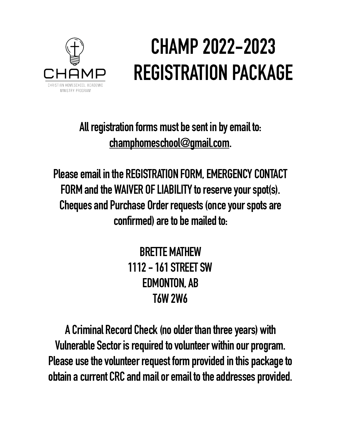

# **CHAMP 2022-2023 REGISTRATION PACKAGE**

**All registration forms must be sent in by email to: [champhomeschool@gmail.com.](mailto:champhomeschool@gmail.com)** 

**Please email in the REGISTRATION FORM, EMERGENCY CONTACT FORM and the WAIVER OF LIABILITY to reserve your spot(s). Cheques and Purchase Order requests (once your spots are confirmed) are to be mailed to:** 

> **BRETTE MATHEW 1112 - 161 STREET SW EDMONTON, AB T6W 2W6**

**A Criminal Record Check (no older than three years) with Vulnerable Sector is required to volunteer within our program. Please use the volunteer request form provided in this package to obtain a current CRC and mail or email to the addresses provided.**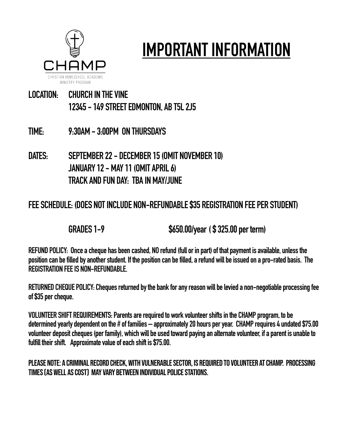

# **IMPORTANT INFORMATION**

#### **LOCATION: CHURCH IN THE VINE 12345 - 149 STREET EDMONTON, AB T5L 2J5**

- **TIME: 9:30AM 3:00PM ON THURSDAYS**
- **DATES: SEPTEMBER 22 DECEMBER 15 (OMIT NOVEMBER 10) JANUARY 12 - MAY 11 (OMIT APRIL 6) TRACK AND FUN DAY: TBA IN MAY/JUNE**

#### **FEE SCHEDULE: (DOES NOT INCLUDE NON-REFUNDABLE \$35 REGISTRATION FEE PER STUDENT)**

 **GRADES 1-9 \$650.00/year ( \$ 325.00 per term)** 

**REFUND POLICY: Once a cheque has been cashed, NO refund (full or in part) of that payment is available, unless the position can be filled by another student. If the position can be filled, a refund will be issued on a pro-rated basis. The REGISTRATION FEE IS NON-REFUNDABLE.** 

**RETURNED CHEQUE POLICY: Cheques returned by the bank for any reason will be levied a non-negotiable processing fee of \$35 per cheque.** 

**VOLUNTEER SHIFT REQUIREMENTS: Parents are required to work volunteer shifts in the CHAMP program, to be determined yearly dependent on the # of families – approximately 20 hours per year. CHAMP requires 4 undated \$75.00 volunteer deposit cheques (per family), which will be used toward paying an alternate volunteer, if a parent is unable to fulfill their shift. Approximate value of each shift is \$75.00.** 

#### PLEASE NOTE: A CRIMINAL RECORD CHECK, WITH VULNERABLE SECTOR, IS REQUIRED TO VOLUNTEER AT CHAMP. PROCESSING TIMES (as well as cost) MAY VARY between INDIVIDUAL POLICE STATIONS.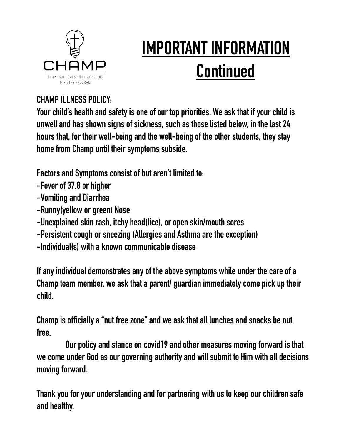

# **IMPORTANT INFORMATION Continued**

#### **CHAMP ILLNESS POLICY:**

**Your child's health and safety is one of our top priorities. We ask that if your child is unwell and has shown signs of sickness, such as those listed below, in the last 24 hours that, for their well-being and the well-being of the other students, they stay home from Champ until their symptoms subside.** 

**Factors and Symptoms consist of but aren't limited to:** 

- **-Fever of 37.8 or higher**
- **-Vomiting and Diarrhea**
- **-Runny(yellow or green) Nose**
- **-Unexplained skin rash, itchy head(lice), or open skin/mouth sores**
- **-Persistent cough or sneezing (Allergies and Asthma are the exception)**
- **-Individual(s) with a known communicable disease**

**If any individual demonstrates any of the above symptoms while under the care of a Champ team member, we ask that a parent/ guardian immediately come pick up their child.**

**Champ is officially a "nut free zone" and we ask that all lunches and snacks be nut free.**

**Our policy and stance on covid19 and other measures moving forward is that we come under God as our governing authority and will submit to Him with all decisions moving forward.** 

**Thank you for your understanding and for partnering with us to keep our children safe and healthy.**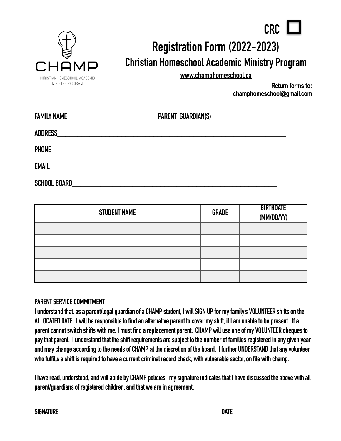

### **Registration Form (2022-2023) Christian Homeschool Academic Ministry Program**

**[www.champhomeschool.ca](http://www.champhomeschool.ca)**

**Return forms to: champhomeschool@gmail.com** 

**CRC** 

| <b>FAMILY NAME</b>                                                                                                              | PARENT GUARDIAN(S)__________________________ |  |
|---------------------------------------------------------------------------------------------------------------------------------|----------------------------------------------|--|
|                                                                                                                                 |                                              |  |
| PHONE                                                                                                                           |                                              |  |
| EMAIL<br><u> 1980 - Jan Samuel Barbara, margaret e populazion del control del control del control del control de la control</u> |                                              |  |
| <b>SCHOOL BOARD</b>                                                                                                             |                                              |  |

| <b>STUDENT NAME</b> | <b>GRADE</b> | <b>BIRTHDATE</b><br>(MM/DD/YY) |
|---------------------|--------------|--------------------------------|
|                     |              |                                |
|                     |              |                                |
|                     |              |                                |
|                     |              |                                |
|                     |              |                                |

#### **PARENT SERVICE COMMITMENT**

**I understand that, as a parent/legal guardian of a CHAMP student, I will SIGN UP for my family's VOLUNTEER shifts on the ALLOCATED DATE. I will be responsible to find an alternative parent to cover my shift, if I am unable to be present. If a parent cannot switch shifts with me, I must find a replacement parent. CHAMP will use one of my VOLUNTEER cheques to pay that parent. I understand that the shift requirements are subject to the number of families registered in any given year and may change according to the needs of CHAMP, at the discretion of the board. I further UNDERSTAND that any volunteer who fulfills a shift is required to have a current criminal record check, with vulnerable sector, on file with champ.** 

**I have read, understood, and will abide by CHAMP policies. my signature indicates that I have discussed the above with all parent/guardians of registered children, and that we are in agreement.** 

**SIGNATURE\_\_\_\_\_\_\_\_\_\_\_\_\_\_\_\_\_\_\_\_\_\_\_\_\_\_\_\_\_\_\_\_\_\_\_\_\_\_\_\_\_\_\_ DATE \_\_\_\_\_\_\_\_\_\_\_\_\_\_\_**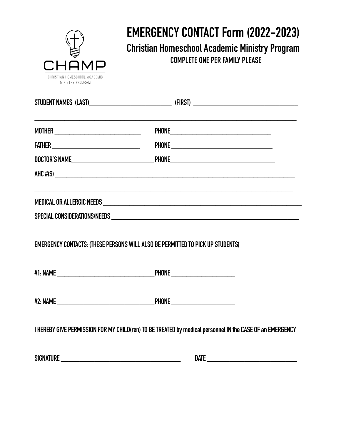

### **EMERGENCY CONTACT Form (2022-2023) Christian Homeschool Academic Ministry Program COMPLETE ONE PER FAMILY PLEASE**

|                                                                                       | ,我们也不能在这里的时候,我们也不能在这里的时候,我们也不能会不能会不能会不能会不能会不能会不能会不能会不能会不能会。<br>第2012章 我们的时候,我们的时候,我们的时候,我们的时候,我们的时候,我们的时候,我们的时候,我们的时候,我们的时候,我们的时候,我们的时候,我们的时候,我                                                                                      |
|---------------------------------------------------------------------------------------|--------------------------------------------------------------------------------------------------------------------------------------------------------------------------------------------------------------------------------------|
|                                                                                       |                                                                                                                                                                                                                                      |
|                                                                                       |                                                                                                                                                                                                                                      |
|                                                                                       | $AHC \#(S)$                                                                                                                                                                                                                          |
|                                                                                       | MEDICAL OR ALLERGIC NEEDS <b>with a strategies and a strategies of the strategies of the strategies of the strategies of the strategies of the strategies of the strategies of the strategies of the strategies of the strategie</b> |
|                                                                                       |                                                                                                                                                                                                                                      |
| <b>EMERGENCY CONTACTS: (THESE PERSONS WILL ALSO BE PERMITTED TO PICK UP STUDENTS)</b> |                                                                                                                                                                                                                                      |
|                                                                                       |                                                                                                                                                                                                                                      |
|                                                                                       |                                                                                                                                                                                                                                      |
|                                                                                       | I HEREBY GIVE PERMISSION FOR MY CHILD(ren) TO BE TREATED by medical personnel IN the CASE OF an EMERGENCY                                                                                                                            |
|                                                                                       |                                                                                                                                                                                                                                      |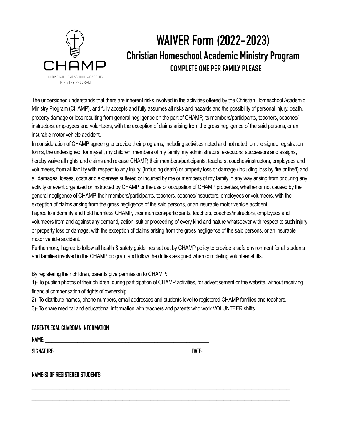

### **WAIVER Form (2022-2023) Christian Homeschool Academic Ministry Program COMPLETE ONE PER FAMILY PLEASE**

The undersigned understands that there are inherent risks involved in the activities offered by the Christian Homeschool Academic Ministry Program (CHAMP), and fully accepts and fully assumes all risks and hazards and the possibility of personal injury, death, property damage or loss resulting from general negligence on the part of CHAMP, its members/participants, teachers, coaches/ instructors, employees and volunteers, with the exception of claims arising from the gross negligence of the said persons, or an insurable motor vehicle accident.

In consideration of CHAMP agreeing to provide their programs, including activities noted and not noted, on the signed registration forms, the undersigned, for myself, my children, members of my family, my administrators, executors, successors and assigns, hereby waive all rights and claims and release CHAMP, their members/participants, teachers, coaches/instructors, employees and volunteers, from all liability with respect to any injury, (including death) or property loss or damage (including loss by fire or theft) and all damages, losses, costs and expenses suffered or incurred by me or members of my family in any way arising from or during any activity or event organized or instructed by CHAMP or the use or occupation of CHAMP properties, whether or not caused by the general negligence of CHAMP, their members/participants, teachers, coaches/instructors, employees or volunteers, with the exception of claims arising from the gross negligence of the said persons, or an insurable motor vehicle accident. I agree to indemnify and hold harmless CHAMP, their members/participants, teachers, coaches/instructors, employees and volunteers from and against any demand, action, suit or proceeding of every kind and nature whatsoever with respect to such injury or property loss or damage, with the exception of claims arising from the gross negligence of the said persons, or an insurable motor vehicle accident.

Furthermore, I agree to follow all health & safety guidelines set out by CHAMP policy to provide a safe environment for all students and families involved in the CHAMP program and follow the duties assigned when completing volunteer shifts.

By registering their children, parents give permission to CHAMP:

1)- To publish photos of their children, during participation of CHAMP activities, for advertisement or the website, without receiving financial compensation of rights of ownership.

2)- To distribute names, phone numbers, email addresses and students level to registered CHAMP families and teachers.

\_\_\_\_\_\_\_\_\_\_\_\_\_\_\_\_\_\_\_\_\_\_\_\_\_\_\_\_\_\_\_\_\_\_\_\_\_\_\_\_\_\_\_\_\_\_\_\_\_\_\_\_\_\_\_\_\_\_\_\_\_\_\_\_\_\_\_\_\_\_\_\_\_\_

\_\_\_\_\_\_\_\_\_\_\_\_\_\_\_\_\_\_\_\_\_\_\_\_\_\_\_\_\_\_\_\_\_\_\_\_\_\_\_\_\_\_\_\_\_\_\_\_\_\_\_\_\_\_\_\_\_\_\_\_\_\_\_\_\_\_\_\_\_\_\_\_\_\_

3)- To share medical and educational information with teachers and parents who work VOLUNTEER shifts.

#### **PARENT/LEGAL GUARDIAN INFORMATION**

**NAME: \_\_\_\_\_\_\_\_\_\_\_\_\_\_\_\_\_\_\_\_\_\_\_\_\_\_\_\_\_\_\_\_\_\_\_\_\_\_\_\_\_\_\_\_\_\_\_\_\_\_\_** 

**SIGNATURE: \_\_\_\_\_\_\_\_\_\_\_\_\_\_\_\_\_\_\_\_\_\_\_\_\_\_\_\_\_\_\_\_\_\_\_\_\_ DATE: \_\_\_\_\_\_\_\_\_\_\_\_\_\_\_\_\_\_\_\_\_\_\_\_\_\_\_\_\_\_\_\_** 

**NAME(S) OF REGISTERED STUDENTS:**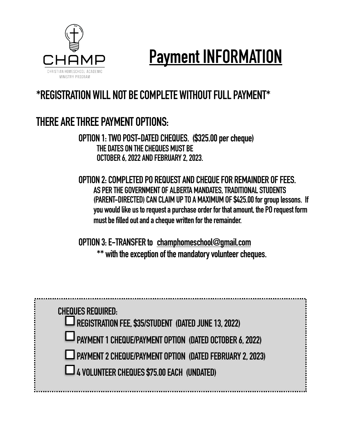

# **Payment INFORMATION**

### **\*REGISTRATION WILL NOT BE COMPLETE WITHOUT FULL PAYMENT\***

### **THERE ARE THREE PAYMENT OPTIONS:**

**OPTION 1: TWO POST-DATED CHEQUES. (\$325.00 per cheque) THE DATES ON THE CHEQUES MUST BE OCTOBER 6, 2022 AND FEBRUARY 2, 2023.** 

**OPTION 2: COMPLETED PO REQUEST AND CHEQUE FOR REMAINDER OF FEES. AS PER THE GOVERNMENT OF ALBERTA MANDATES, TRADITIONAL STUDENTS (PARENT-DIRECTED) CAN CLAIM UP TO A MAXIMUM OF \$425.00 for group lessons. If you would like us to request a purchase order for that amount, the PO request form must be filled out and a cheque written for the remainder.** 

**OPTION 3: E-TRANSFER to [champhomeschool@gmail.com](mailto:champhomeschool@gmail.com)  \*\* with the exception of the mandatory volunteer cheques.** 

| <b>CHEQUES REQUIRED:</b><br>LJ REGISTRATION FEE, \$35/STUDENT (DATED JUNE 13, 2022) |
|-------------------------------------------------------------------------------------|
| PAYMENT 1 CHEQUE/PAYMENT OPTION (DATED OCTOBER 6, 2022)                             |
| LJ PAYMENT 2 CHEQUE/PAYMENT OPTION (DATED FEBRUARY 2, 2023)                         |
| LA VOLUNTEER CHEQUES \$75.00 EACH (UNDATED)                                         |
|                                                                                     |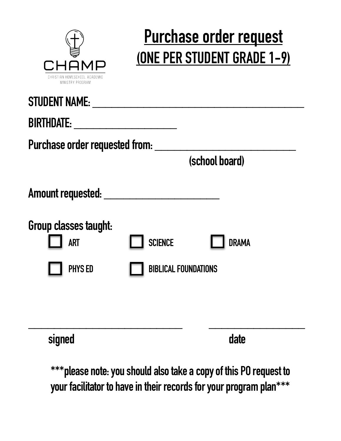

## **Purchase order request (ONE PER STUDENT GRADE 1-9)**

| <b>STUDENT NAME:</b>                                |                                                         |                |
|-----------------------------------------------------|---------------------------------------------------------|----------------|
| <b>BIRTHDATE:</b><br>Purchase order requested from: | <u> 1989 - Johann Barnett, fransk politik (d. 1989)</u> |                |
|                                                     |                                                         | (school board) |
| Amount requested: ______                            |                                                         |                |
| Group classes taught:<br><b>ART</b>                 | <b>SCIENCE</b>                                          | <b>DRAMA</b>   |
| <b>PHYS ED</b>                                      | <b>BIBLICAL FOUNDATIONS</b>                             |                |
|                                                     |                                                         |                |
| signed                                              |                                                         | date           |

**\*\*\*please note: you should also take a copy of this PO request to your facilitator to have in their records for your program plan\*\*\***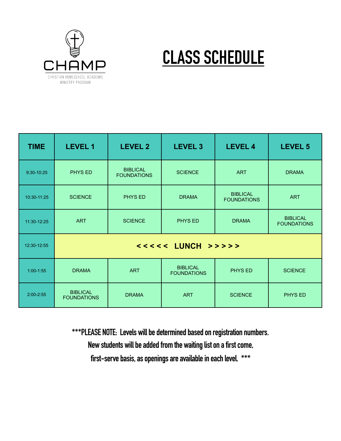

## **CLASS SCHEDULE**

| <b>TIME</b>   | <b>LEVEL 1</b>                        | <b>LEVEL 2</b>                        | <b>LEVEL 3</b>                        | <b>LEVEL 4</b>                        | <b>LEVEL 5</b>                        |
|---------------|---------------------------------------|---------------------------------------|---------------------------------------|---------------------------------------|---------------------------------------|
| 9:30-10:25    | <b>PHYS ED</b>                        | <b>BIBLICAL</b><br><b>FOUNDATIONS</b> | <b>SCIENCE</b>                        | <b>ART</b>                            | <b>DRAMA</b>                          |
| 10:30-11:25   | <b>SCIENCE</b>                        | PHYS ED                               | <b>DRAMA</b>                          | <b>BIBLICAL</b><br><b>FOUNDATIONS</b> | <b>ART</b>                            |
| 11:30-12:25   | <b>ART</b>                            | <b>SCIENCE</b>                        | PHYS ED                               | <b>DRAMA</b>                          | <b>BIBLICAL</b><br><b>FOUNDATIONS</b> |
| 12:30-12:55   | <<<<< LUNCH >>>>>                     |                                       |                                       |                                       |                                       |
| $1:00-1:55$   | <b>DRAMA</b>                          | <b>ART</b>                            | <b>BIBLICAL</b><br><b>FOUNDATIONS</b> | <b>PHYS ED</b>                        | <b>SCIENCE</b>                        |
| $2:00 - 2:55$ | <b>BIBLICAL</b><br><b>FOUNDATIONS</b> | <b>DRAMA</b>                          | <b>ART</b>                            | <b>SCIENCE</b>                        | PHYS ED                               |

**\*\*\*PLEASE NOTE: Levels will be determined based on registration numbers. New students will be added from the waiting list on a first come,** 

**first-serve basis, as openings are available in each level. \*\*\***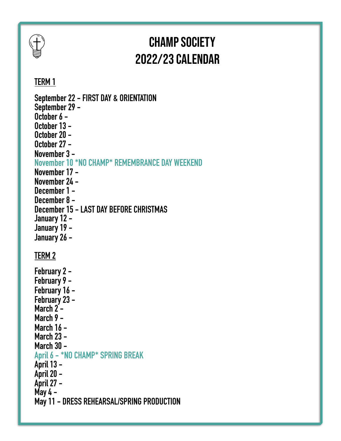# $\overline{\mathcal{F}}$

### CHAMP Society 2022/23 Calendar

### **TERM 1**

| September 22 - FIRST DAY & ORIENTATION<br>September 29 –<br>October 6 -<br>October 13 -<br>October 20 -<br>October 27 -                          |
|--------------------------------------------------------------------------------------------------------------------------------------------------|
| November 3 -<br>November 10 *NO CHAMP* REMEMBRANCE DAY WEEKEND<br>November 17 -<br>November 24 -<br>December 1 -                                 |
| December 8 -<br>December 15 - LAST DAY BEFORE CHRISTMAS<br>January 12 -<br>January 19 -<br>January 26 -                                          |
| <b>TERM 2</b>                                                                                                                                    |
| February 2 -<br>February 9 -<br>February 16 -<br>February 23 -<br>March 2 -<br>March 9 -<br><b>March 16 -</b><br><b>March 23 -</b><br>March 30 - |
| April 6 - *NO CHAMP* SPRING BREAK                                                                                                                |
| April 13 -<br>April 20 -<br>April 27 -                                                                                                           |
| May 4 -<br>May 11 - DRESS REHEARSAL/SPRING PRODUCTION                                                                                            |